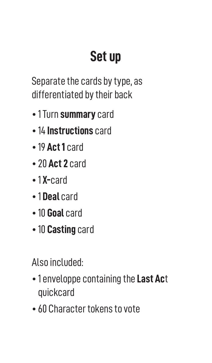## **Set up**

Separate the cards by type, as differentiated by their back

- 1 Turn **summary** card
- 14 **Instructions** card
- 19 **Act 1** card
- 20 **Act 2** card
- 1 **X-**card
- 1 **Deal** card
- 10 **Goal** card
- 10 **Casting** card

Also included:

- 1 enveloppe containing the **Last Ac**t quickcard
- 60 Character tokens to vote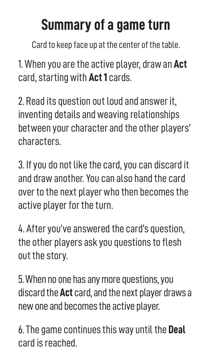## **Summary of a game turn**

Card to keep face up at the center of the table.

1. When you are the active player, draw an **Act** card, starting with **Act 1** cards.

2. Read its question out loud and answer it, inventing details and weaving relationships between your character and the other players' characters.

3. If you do not like the card, you can discard it and draw another. You can also hand the card over to the next player who then becomes the active player for the turn.

4. After you've answered the card's question, the other players ask you questions to flesh out the story.

5. When no one has any more questions, you discard the **Act** card, and the next player draws a new one and becomes the active player.

6. The game continues this way until the **Deal** card is reached.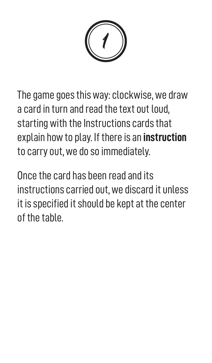1

The game goes this way: clockwise, we draw a card in turn and read the text out loud, starting with the Instructions cards that explain how to play. If there is an **instruction** to carry out, we do so immediately.

Once the card has been read and its instructions carried out, we discard it unless it is specified it should be kept at the center of the table.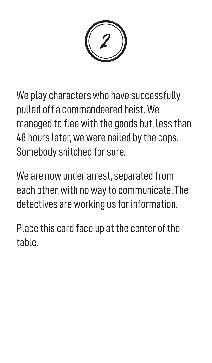2

We play characters who have successfully pulled off a commandeered heist. We managed to flee with the goods but, less than 48 hours later, we were nailed by the cops. Somebody snitched for sure.

We are now under arrest, separated from each other, with no way to communicate. The detectives are working us for information.

Place this card face up at the center of the table.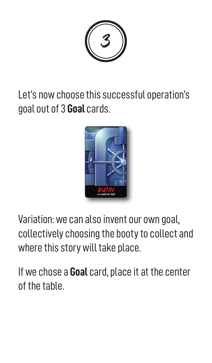3

Let's now choose this successful operation's goal out of 3 **Goal** cards.



Variation: we can also invent our own goal, collectively choosing the booty to collect and where this story will take place.

If we chose a **Goal** card, place it at the center of the table.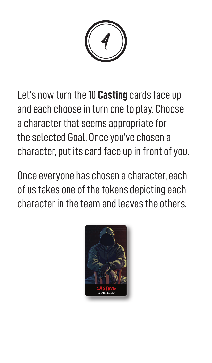4

Let's now turn the 10 **Casting** cards face up and each choose in turn one to play. Choose a character that seems appropriate for the selected Goal. Once you've chosen a character, put its card face up in front of you.

Once everyone has chosen a character, each of us takes one of the tokens depicting each character in the team and leaves the others.

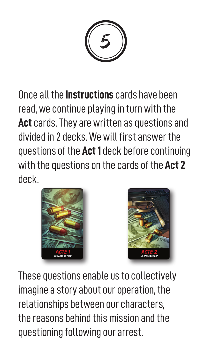5

Once all the **Instructions** cards have been read, we continue playing in turn with the **Act** cards. They are written as questions and divided in 2 decks. We will first answer the questions of the **Act 1** deck before continuing with the questions on the cards of the **Act 2** deck.





These questions enable us to collectively imagine a story about our operation, the relationships between our characters, the reasons behind this mission and the questioning following our arrest.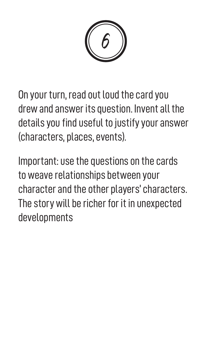6

On your turn, read out loud the card you drew and answer its question. Invent all the details you find useful to justify your answer (characters, places, events).

Important: use the questions on the cards to weave relationships between your character and the other players' characters. The story will be richer for it in unexpected developments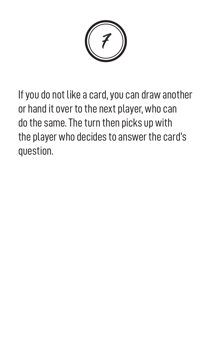7

If you do not like a card, you can draw another or hand it over to the next player, who can do the same. The turn then picks up with the player who decides to answer the card's question.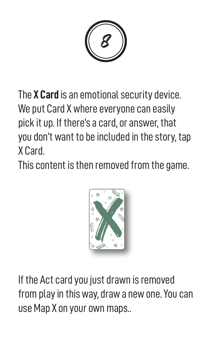8

The **X Card** is an emotional security device. We put Card X where everyone can easily pick it up. If there's a card, or answer, that you don't want to be included in the story, tap X Card.

This content is then removed from the game.



If the Act card you just drawn is removed from play in this way, draw a new one. You can use Map X on your own maps..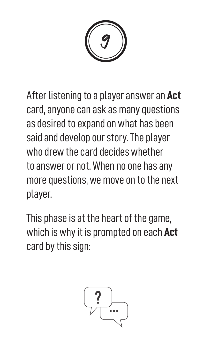9

After listening to a player answer an **Act** card, anyone can ask as many questions as desired to expand on what has been said and develop our story. The player who drew the card decides whether to answer or not. When no one has any more questions, we move on to the next player.

This phase is at the heart of the game, which is why it is prompted on each **Act** card by this sign:

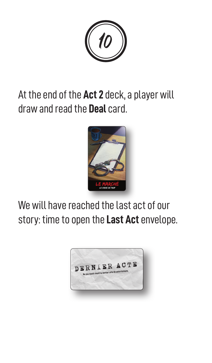10

## At the end of the **Act 2** deck, a player will draw and read the **Deal** card.



We will have reached the last act of our story: time to open the **Last Act** envelope.

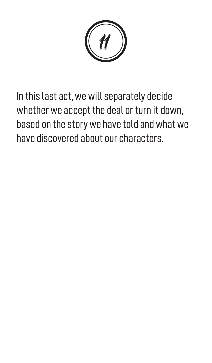11

In this last act, we will separately decide whether we accept the deal or turn it down, based on the story we have told and what we have discovered about our characters.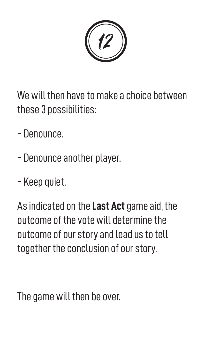12

We will then have to make a choice between these 3 possibilities:

- Denounce.
- Denounce another player.
- Keep quiet.

As indicated on the **Last Act** game aid, the outcome of the vote will determine the outcome of our story and lead us to tell together the conclusion of our story.

The game will then be over.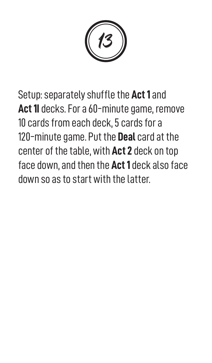13

Setup: separately shuffle the **Act 1** and **Act 1I** decks. For a 60-minute game, remove 10 cards from each deck, 5 cards for a 120-minute game. Put the **Deal** card at the center of the table, with **Act 2** deck on top face down, and then the **Act 1** deck also face down so as to start with the latter.